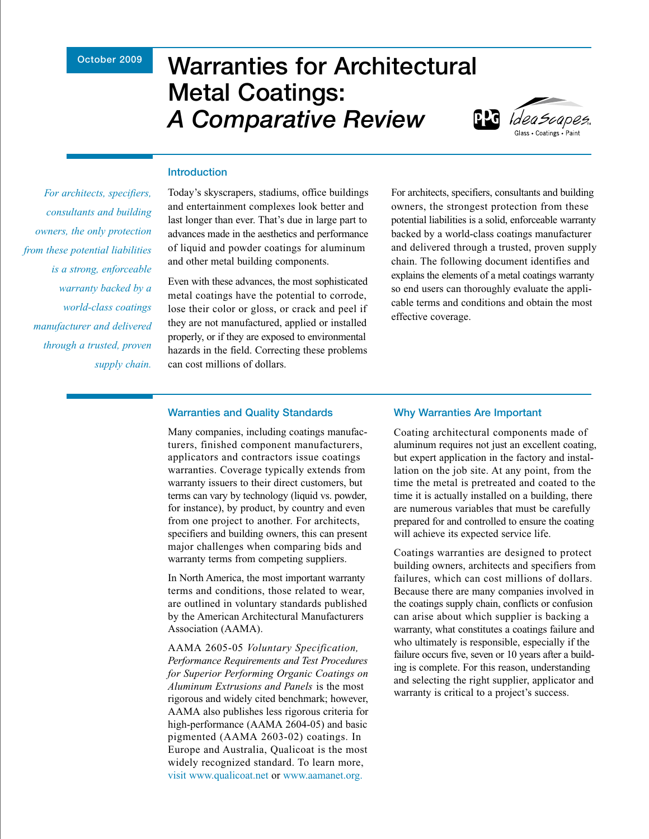## **October 2009**

# **Warranties for Architectural Metal Coatings:**  *A Comparative Review*



## **Introduction**

*For architects, specifiers, consultants and building owners, the only protection from these potential liabilities is a strong, enforceable warranty backed by a world-class coatings manufacturer and delivered through a trusted, proven supply chain.* 

Today's skyscrapers, stadiums, office buildings and entertainment complexes look better and last longer than ever. That's due in large part to advances made in the aesthetics and performance of liquid and powder coatings for aluminum and other metal building components.

Even with these advances, the most sophisticated metal coatings have the potential to corrode, lose their color or gloss, or crack and peel if they are not manufactured, applied or installed properly, or if they are exposed to environmental hazards in the field. Correcting these problems can cost millions of dollars.

For architects, specifiers, consultants and building owners, the strongest protection from these potential liabilities is a solid, enforceable warranty backed by a world-class coatings manufacturer and delivered through a trusted, proven supply chain. The following document identifies and explains the elements of a metal coatings warranty so end users can thoroughly evaluate the applicable terms and conditions and obtain the most effective coverage.

#### **Warranties and Quality Standards**

Many companies, including coatings manufacturers, finished component manufacturers, applicators and contractors issue coatings warranties. Coverage typically extends from warranty issuers to their direct customers, but terms can vary by technology (liquid vs. powder, for instance), by product, by country and even from one project to another. For architects, specifiers and building owners, this can present major challenges when comparing bids and warranty terms from competing suppliers.

In North America, the most important warranty terms and conditions, those related to wear, are outlined in voluntary standards published by the American Architectural Manufacturers Association (AAMA).

AAMA 2605-05 *Voluntary Specification, Performance Requirements and Test Procedures for Superior Performing Organic Coatings on Aluminum Extrusions and Panels* is the most rigorous and widely cited benchmark; however, AAMA also publishes less rigorous criteria for high-performance (AAMA 2604-05) and basic pigmented (AAMA 2603-02) coatings. In Europe and Australia, Qualicoat is the most widely recognized standard. To learn more, visit www.qualicoat.net or www.aamanet.org.

#### **Why Warranties Are Important**

Coating architectural components made of aluminum requires not just an excellent coating, but expert application in the factory and installation on the job site. At any point, from the time the metal is pretreated and coated to the time it is actually installed on a building, there are numerous variables that must be carefully prepared for and controlled to ensure the coating will achieve its expected service life.

Coatings warranties are designed to protect building owners, architects and specifiers from failures, which can cost millions of dollars. Because there are many companies involved in the coatings supply chain, conflicts or confusion can arise about which supplier is backing a warranty, what constitutes a coatings failure and who ultimately is responsible, especially if the failure occurs five, seven or 10 years after a building is complete. For this reason, understanding and selecting the right supplier, applicator and warranty is critical to a project's success.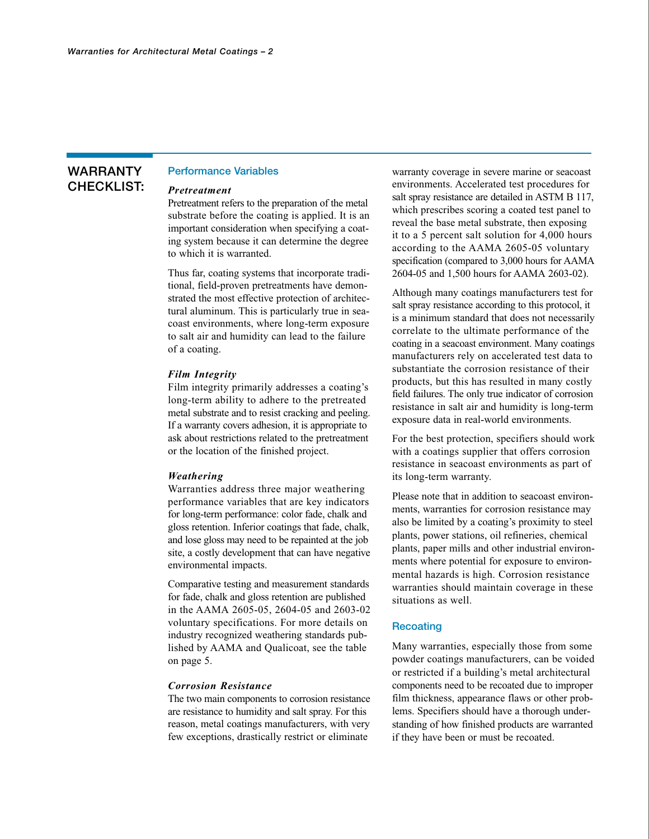# **WARRANTY CHECKLIST:**

# **Performance Variables**

#### *Pretreatment*

Pretreatment refers to the preparation of the metal substrate before the coating is applied. It is an important consideration when specifying a coating system because it can determine the degree to which it is warranted.

Thus far, coating systems that incorporate traditional, field-proven pretreatments have demonstrated the most effective protection of architectural aluminum. This is particularly true in seacoast environments, where long-term exposure to salt air and humidity can lead to the failure of a coating.

#### *Film Integrity*

Film integrity primarily addresses a coating's long-term ability to adhere to the pretreated metal substrate and to resist cracking and peeling. If a warranty covers adhesion, it is appropriate to ask about restrictions related to the pretreatment or the location of the finished project.

#### *Weathering*

Warranties address three major weathering performance variables that are key indicators for long-term performance: color fade, chalk and gloss retention. Inferior coatings that fade, chalk, and lose gloss may need to be repainted at the job site, a costly development that can have negative environmental impacts.

Comparative testing and measurement standards for fade, chalk and gloss retention are published in the AAMA 2605-05, 2604-05 and 2603-02 voluntary specifications. For more details on industry recognized weathering standards published by AAMA and Qualicoat, see the table on page 5.

#### *Corrosion Resistance*

The two main components to corrosion resistance are resistance to humidity and salt spray. For this reason, metal coatings manufacturers, with very few exceptions, drastically restrict or eliminate

warranty coverage in severe marine or seacoast environments. Accelerated test procedures for salt spray resistance are detailed in ASTM B 117, which prescribes scoring a coated test panel to reveal the base metal substrate, then exposing it to a 5 percent salt solution for 4,000 hours according to the AAMA 2605-05 voluntary specification (compared to 3,000 hours for AAMA 2604-05 and 1,500 hours for AAMA 2603-02).

Although many coatings manufacturers test for salt spray resistance according to this protocol, it is a minimum standard that does not necessarily correlate to the ultimate performance of the coating in a seacoast environment. Many coatings manufacturers rely on accelerated test data to substantiate the corrosion resistance of their products, but this has resulted in many costly field failures. The only true indicator of corrosion resistance in salt air and humidity is long-term exposure data in real-world environments.

For the best protection, specifiers should work with a coatings supplier that offers corrosion resistance in seacoast environments as part of its long-term warranty.

Please note that in addition to seacoast environments, warranties for corrosion resistance may also be limited by a coating's proximity to steel plants, power stations, oil refineries, chemical plants, paper mills and other industrial environments where potential for exposure to environmental hazards is high. Corrosion resistance warranties should maintain coverage in these situations as well.

#### **Recoating**

Many warranties, especially those from some powder coatings manufacturers, can be voided or restricted if a building's metal architectural components need to be recoated due to improper film thickness, appearance flaws or other problems. Specifiers should have a thorough understanding of how finished products are warranted if they have been or must be recoated.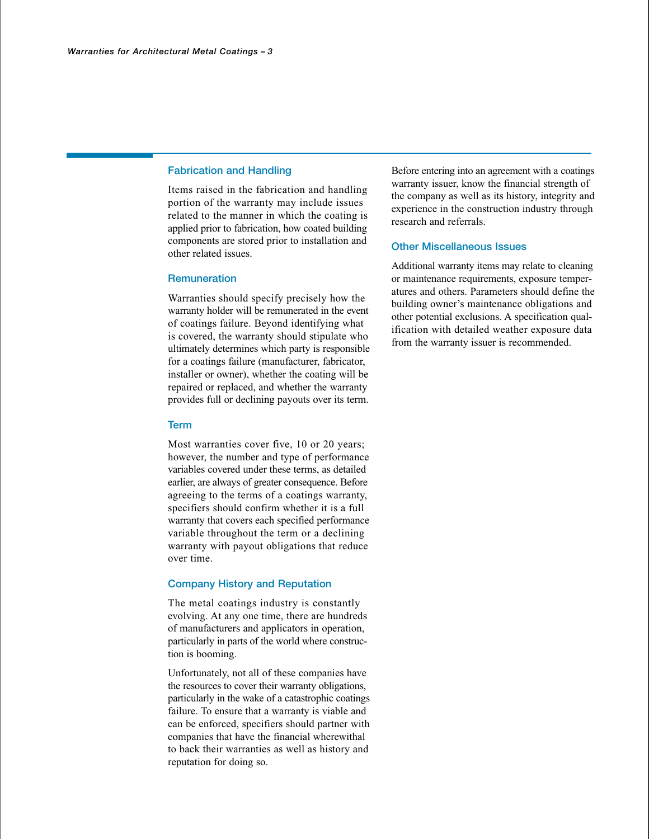#### **Fabrication and Handling**

Items raised in the fabrication and handling portion of the warranty may include issues related to the manner in which the coating is applied prior to fabrication, how coated building components are stored prior to installation and other related issues.

#### **Remuneration**

Warranties should specify precisely how the warranty holder will be remunerated in the event of coatings failure. Beyond identifying what is covered, the warranty should stipulate who ultimately determines which party is responsible for a coatings failure (manufacturer, fabricator, installer or owner), whether the coating will be repaired or replaced, and whether the warranty provides full or declining payouts over its term.

#### **Term**

Most warranties cover five, 10 or 20 years; however, the number and type of performance variables covered under these terms, as detailed earlier, are always of greater consequence. Before agreeing to the terms of a coatings warranty, specifiers should confirm whether it is a full warranty that covers each specified performance variable throughout the term or a declining warranty with payout obligations that reduce over time.

#### **Company History and Reputation**

The metal coatings industry is constantly evolving. At any one time, there are hundreds of manufacturers and applicators in operation, particularly in parts of the world where construction is booming.

Unfortunately, not all of these companies have the resources to cover their warranty obligations, particularly in the wake of a catastrophic coatings failure. To ensure that a warranty is viable and can be enforced, specifiers should partner with companies that have the financial wherewithal to back their warranties as well as history and reputation for doing so.

Before entering into an agreement with a coatings warranty issuer, know the financial strength of the company as well as its history, integrity and experience in the construction industry through research and referrals.

#### **Other Miscellaneous Issues**

Additional warranty items may relate to cleaning or maintenance requirements, exposure temperatures and others. Parameters should define the building owner's maintenance obligations and other potential exclusions. A specification qualification with detailed weather exposure data from the warranty issuer is recommended.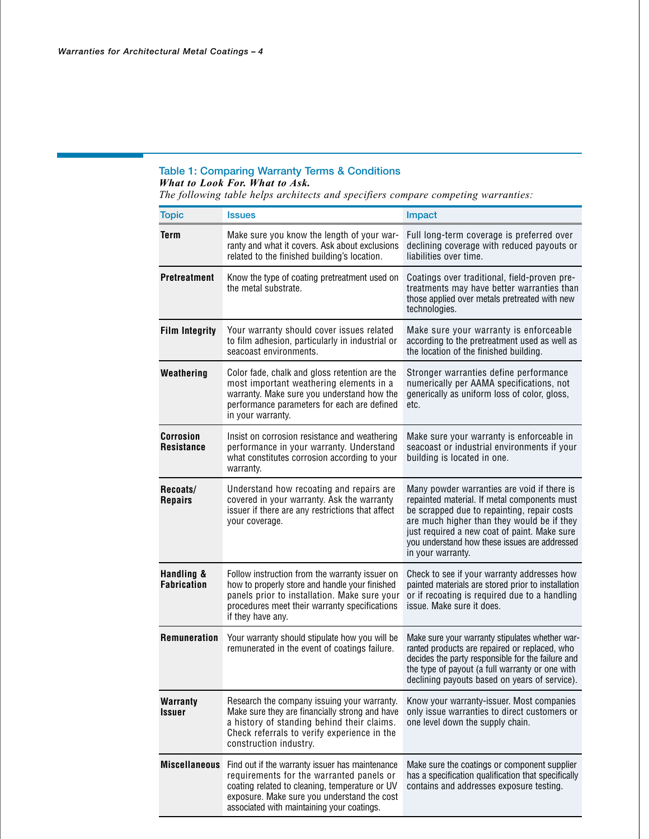# **Table 1: Comparing Warranty Terms & Conditions** *What to Look For. What to Ask.*

*The following table helps architects and specifiers compare competing warranties:*

| <b>Topic</b>                          | <b>Issues</b>                                                                                                                                                                                                                                                                                                                                                                                                                                                                  | <b>Impact</b>                                                                                                                                                                   |
|---------------------------------------|--------------------------------------------------------------------------------------------------------------------------------------------------------------------------------------------------------------------------------------------------------------------------------------------------------------------------------------------------------------------------------------------------------------------------------------------------------------------------------|---------------------------------------------------------------------------------------------------------------------------------------------------------------------------------|
| <b>Term</b>                           | Make sure you know the length of your war-<br>ranty and what it covers. Ask about exclusions<br>related to the finished building's location.                                                                                                                                                                                                                                                                                                                                   | Full long-term coverage is preferred over<br>declining coverage with reduced payouts or<br>liabilities over time.                                                               |
| <b>Pretreatment</b>                   | Know the type of coating pretreatment used on<br>Coatings over traditional, field-proven pre-<br>the metal substrate.<br>treatments may have better warranties than<br>those applied over metals pretreated with new<br>technologies.                                                                                                                                                                                                                                          |                                                                                                                                                                                 |
| <b>Film Integrity</b>                 | Your warranty should cover issues related<br>to film adhesion, particularly in industrial or<br>seacoast environments.                                                                                                                                                                                                                                                                                                                                                         | Make sure your warranty is enforceable<br>according to the pretreatment used as well as<br>the location of the finished building.                                               |
| Weathering                            | Color fade, chalk and gloss retention are the<br>most important weathering elements in a<br>warranty. Make sure you understand how the<br>performance parameters for each are defined<br>in your warranty.                                                                                                                                                                                                                                                                     | Stronger warranties define performance<br>numerically per AAMA specifications, not<br>generically as uniform loss of color, gloss,<br>etc.                                      |
| <b>Corrosion</b><br><b>Resistance</b> | Insist on corrosion resistance and weathering<br>Make sure your warranty is enforceable in<br>performance in your warranty. Understand<br>seacoast or industrial environments if your<br>building is located in one.<br>what constitutes corrosion according to your<br>warranty.                                                                                                                                                                                              |                                                                                                                                                                                 |
| Recoats/<br><b>Repairs</b>            | Understand how recoating and repairs are<br>Many powder warranties are void if there is<br>covered in your warranty. Ask the warranty<br>repainted material. If metal components must<br>issuer if there are any restrictions that affect<br>be scrapped due to repainting, repair costs<br>are much higher than they would be if they<br>your coverage.<br>just required a new coat of paint. Make sure<br>you understand how these issues are addressed<br>in your warranty. |                                                                                                                                                                                 |
| Handling &<br><b>Fabrication</b>      | Follow instruction from the warranty issuer on<br>how to properly store and handle your finished<br>panels prior to installation. Make sure your<br>procedures meet their warranty specifications<br>if they have any.                                                                                                                                                                                                                                                         | Check to see if your warranty addresses how<br>painted materials are stored prior to installation<br>or if recoating is required due to a handling<br>issue. Make sure it does. |
| <b>Remuneration</b>                   | Your warranty should stipulate how you will be<br>Make sure your warranty stipulates whether war-<br>remunerated in the event of coatings failure.<br>ranted products are repaired or replaced, who<br>decides the party responsible for the failure and<br>the type of payout (a full warranty or one with<br>declining payouts based on years of service).                                                                                                                   |                                                                                                                                                                                 |
| <b>Warranty</b><br><b>Issuer</b>      | Research the company issuing your warranty.<br>Make sure they are financially strong and have<br>a history of standing behind their claims.<br>Check referrals to verify experience in the<br>construction industry.                                                                                                                                                                                                                                                           | Know your warranty-issuer. Most companies<br>only issue warranties to direct customers or<br>one level down the supply chain.                                                   |
|                                       | Miscellaneous Find out if the warranty issuer has maintenance<br>requirements for the warranted panels or<br>coating related to cleaning, temperature or UV<br>exposure. Make sure you understand the cost<br>associated with maintaining your coatings.                                                                                                                                                                                                                       | Make sure the coatings or component supplier<br>has a specification qualification that specifically<br>contains and addresses exposure testing.                                 |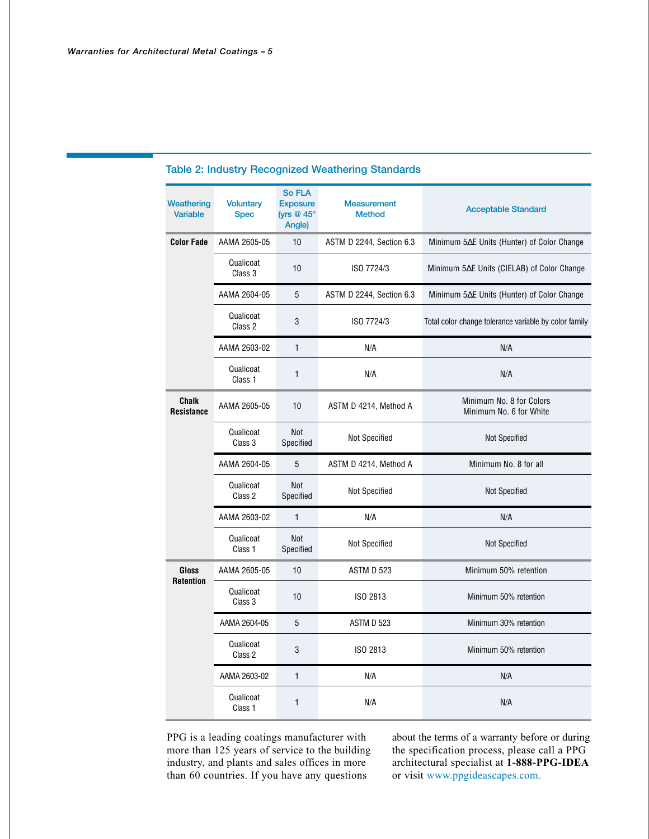| Weathering<br><b>Variable</b>     | <b>Voluntary</b><br><b>Spec</b> | <b>So FLA</b><br><b>Exposure</b><br>(yrs $@$ 45 $°$<br>Angle) | <b>Measurement</b><br><b>Method</b> | <b>Acceptable Standard</b>                            |
|-----------------------------------|---------------------------------|---------------------------------------------------------------|-------------------------------------|-------------------------------------------------------|
| <b>Color Fade</b>                 | AAMA 2605-05                    | 10                                                            | ASTM D 2244, Section 6.3            | Minimum 5∆E Units (Hunter) of Color Change            |
|                                   | Qualicoat<br>Class 3            | 10                                                            | ISO 7724/3                          | Minimum 5∆E Units (CIELAB) of Color Change            |
|                                   | AAMA 2604-05                    | 5                                                             | ASTM D 2244, Section 6.3            | Minimum 5∆E Units (Hunter) of Color Change            |
|                                   | Qualicoat<br>Class 2            | 3                                                             | ISO 7724/3                          | Total color change tolerance variable by color family |
|                                   | AAMA 2603-02                    | $\mathbf{1}$                                                  | N/A                                 | N/A                                                   |
|                                   | Qualicoat<br>Class 1            | 1                                                             | N/A                                 | N/A                                                   |
| <b>Chalk</b><br><b>Resistance</b> | AAMA 2605-05                    | 10                                                            | ASTM D 4214, Method A               | Minimum No. 8 for Colors<br>Minimum No. 6 for White   |
|                                   | Qualicoat<br>Class 3            | Not<br>Specified                                              | <b>Not Specified</b>                | Not Specified                                         |
|                                   |                                 |                                                               |                                     |                                                       |
|                                   | AAMA 2604-05                    | 5                                                             | ASTM D 4214, Method A               | Minimum No. 8 for all                                 |
|                                   | Qualicoat<br>Class 2            | <b>Not</b><br>Specified                                       | <b>Not Specified</b>                | <b>Not Specified</b>                                  |
|                                   | AAMA 2603-02                    | $\mathbf{1}$                                                  | N/A                                 | N/A                                                   |
|                                   | Qualicoat<br>Class 1            | <b>Not</b><br>Specified                                       | <b>Not Specified</b>                | Not Specified                                         |
| Gloss                             | AAMA 2605-05                    | 10                                                            | ASTM D 523                          | Minimum 50% retention                                 |
| <b>Retention</b>                  | Qualicoat<br>Class 3            | 10                                                            | ISO 2813                            | Minimum 50% retention                                 |
|                                   | AAMA 2604-05                    | 5                                                             | ASTM D 523                          | Minimum 30% retention                                 |
|                                   | Qualicoat<br>Class 2            | 3                                                             | ISO 2813                            | Minimum 50% retention                                 |
|                                   | AAMA 2603-02                    | 1                                                             | N/A                                 | N/A                                                   |

# **Table 2: Industry Recognized Weathering Standards**

PPG is a leading coatings manufacturer with more than 125 years of service to the building industry, and plants and sales offices in more than 60 countries. If you have any questions

about the terms of a warranty before or during the specification process, please call a PPG architectural specialist at **1-888-PPG-IDEA** or visit www.ppgideascapes.com.